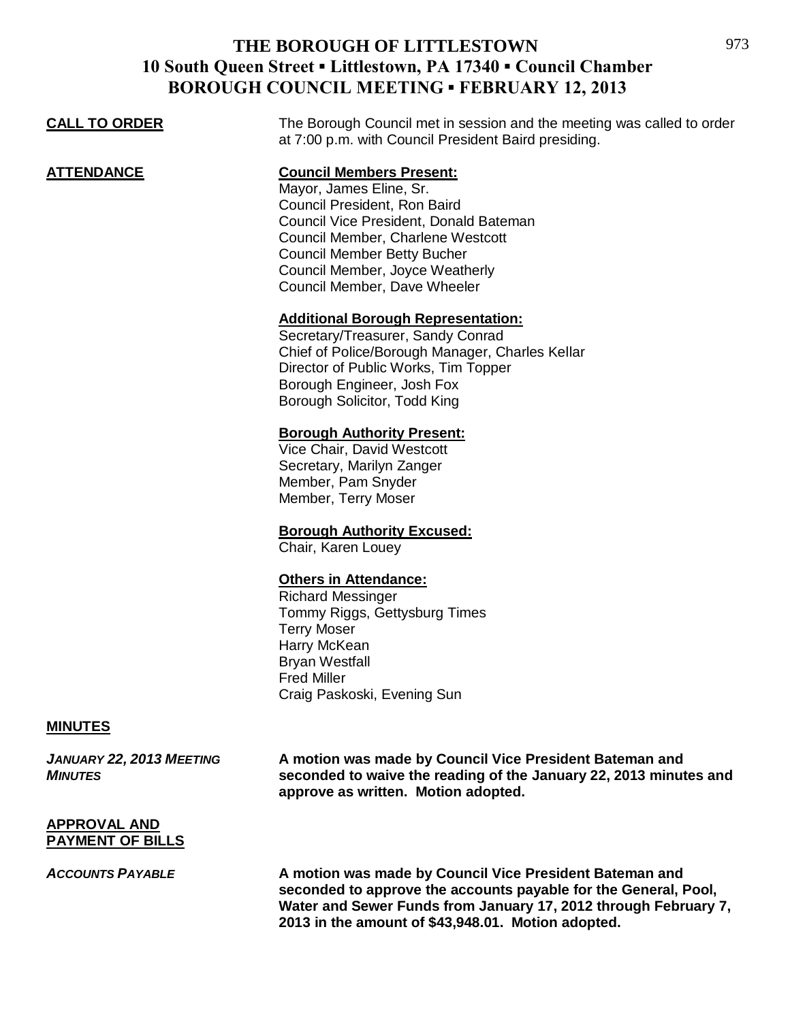| BURUUGH COUNCIL MEETING " FEBRUART 12, 2013 |                                                                                                                                                                                                                                                                                    |
|---------------------------------------------|------------------------------------------------------------------------------------------------------------------------------------------------------------------------------------------------------------------------------------------------------------------------------------|
| <b>CALL TO ORDER</b>                        | The Borough Council met in session and the meeting was called to order<br>at 7:00 p.m. with Council President Baird presiding.                                                                                                                                                     |
| <b>ATTENDANCE</b>                           | <b>Council Members Present:</b><br>Mayor, James Eline, Sr.<br>Council President, Ron Baird<br>Council Vice President, Donald Bateman<br>Council Member, Charlene Westcott<br><b>Council Member Betty Bucher</b><br>Council Member, Joyce Weatherly<br>Council Member, Dave Wheeler |
|                                             | <b>Additional Borough Representation:</b><br>Secretary/Treasurer, Sandy Conrad<br>Chief of Police/Borough Manager, Charles Kellar<br>Director of Public Works, Tim Topper<br>Borough Engineer, Josh Fox<br>Borough Solicitor, Todd King                                            |
|                                             | <b>Borough Authority Present:</b><br>Vice Chair, David Westcott<br>Secretary, Marilyn Zanger<br>Member, Pam Snyder<br>Member, Terry Moser                                                                                                                                          |
|                                             | <b>Borough Authority Excused:</b><br>Chair, Karen Louey                                                                                                                                                                                                                            |
|                                             | <b>Others in Attendance:</b><br><b>Richard Messinger</b><br>Tommy Riggs, Gettysburg Times<br><b>Terry Moser</b><br>Harry McKean<br><b>Bryan Westfall</b><br><b>Fred Miller</b><br>Craig Paskoski, Evening Sun                                                                      |
| <b>MINUTES</b>                              |                                                                                                                                                                                                                                                                                    |

*JANUARY 22, 2013 MEETING* **A motion was made by Council Vice President Bateman and**  *MINUTES* **seconded to waive the reading of the January 22, 2013 minutes and approve as written. Motion adopted.**

#### **APPROVAL AND PAYMENT OF BILLS**

*ACCOUNTS PAYABLE* **A motion was made by Council Vice President Bateman and seconded to approve the accounts payable for the General, Pool, Water and Sewer Funds from January 17, 2012 through February 7, 2013 in the amount of \$43,948.01. Motion adopted.**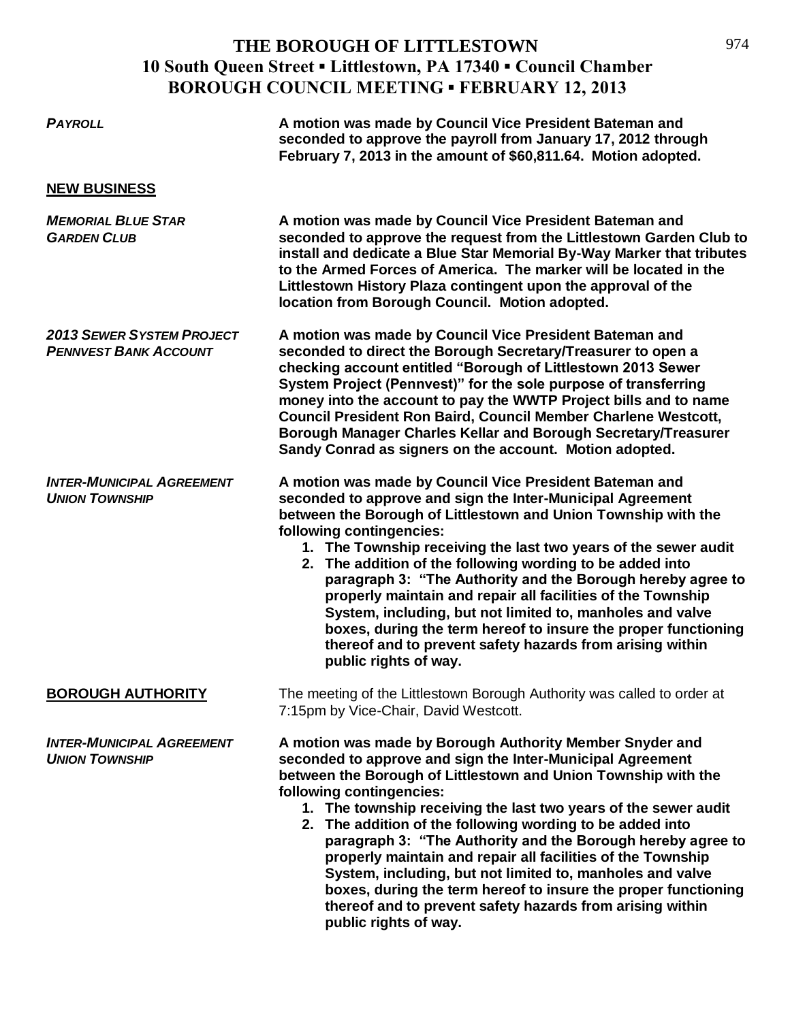| <b>PAYROLL</b>                                                   | A motion was made by Council Vice President Bateman and<br>seconded to approve the payroll from January 17, 2012 through<br>February 7, 2013 in the amount of \$60,811.64. Motion adopted.                                                                                                                                                                                                                                                                                                                                                                                                                                                                                                              |
|------------------------------------------------------------------|---------------------------------------------------------------------------------------------------------------------------------------------------------------------------------------------------------------------------------------------------------------------------------------------------------------------------------------------------------------------------------------------------------------------------------------------------------------------------------------------------------------------------------------------------------------------------------------------------------------------------------------------------------------------------------------------------------|
| <b>NEW BUSINESS</b>                                              |                                                                                                                                                                                                                                                                                                                                                                                                                                                                                                                                                                                                                                                                                                         |
| <b>MEMORIAL BLUE STAR</b><br><b>GARDEN CLUB</b>                  | A motion was made by Council Vice President Bateman and<br>seconded to approve the request from the Littlestown Garden Club to<br>install and dedicate a Blue Star Memorial By-Way Marker that tributes<br>to the Armed Forces of America. The marker will be located in the<br>Littlestown History Plaza contingent upon the approval of the<br>location from Borough Council. Motion adopted.                                                                                                                                                                                                                                                                                                         |
| <b>2013 SEWER SYSTEM PROJECT</b><br><b>PENNVEST BANK ACCOUNT</b> | A motion was made by Council Vice President Bateman and<br>seconded to direct the Borough Secretary/Treasurer to open a<br>checking account entitled "Borough of Littlestown 2013 Sewer<br>System Project (Pennvest)" for the sole purpose of transferring<br>money into the account to pay the WWTP Project bills and to name<br>Council President Ron Baird, Council Member Charlene Westcott,<br>Borough Manager Charles Kellar and Borough Secretary/Treasurer<br>Sandy Conrad as signers on the account. Motion adopted.                                                                                                                                                                           |
| <b>INTER-MUNICIPAL AGREEMENT</b><br><b>UNION TOWNSHIP</b>        | A motion was made by Council Vice President Bateman and<br>seconded to approve and sign the Inter-Municipal Agreement<br>between the Borough of Littlestown and Union Township with the<br>following contingencies:<br>1. The Township receiving the last two years of the sewer audit<br>2. The addition of the following wording to be added into<br>paragraph 3: "The Authority and the Borough hereby agree to<br>properly maintain and repair all facilities of the Township<br>System, including, but not limited to, manholes and valve<br>boxes, during the term hereof to insure the proper functioning<br>thereof and to prevent safety hazards from arising within<br>public rights of way.  |
| <b>BOROUGH AUTHORITY</b>                                         | The meeting of the Littlestown Borough Authority was called to order at<br>7:15pm by Vice-Chair, David Westcott.                                                                                                                                                                                                                                                                                                                                                                                                                                                                                                                                                                                        |
| <b>INTER-MUNICIPAL AGREEMENT</b><br><b>UNION TOWNSHIP</b>        | A motion was made by Borough Authority Member Snyder and<br>seconded to approve and sign the Inter-Municipal Agreement<br>between the Borough of Littlestown and Union Township with the<br>following contingencies:<br>1. The township receiving the last two years of the sewer audit<br>2. The addition of the following wording to be added into<br>paragraph 3: "The Authority and the Borough hereby agree to<br>properly maintain and repair all facilities of the Township<br>System, including, but not limited to, manholes and valve<br>boxes, during the term hereof to insure the proper functioning<br>thereof and to prevent safety hazards from arising within<br>public rights of way. |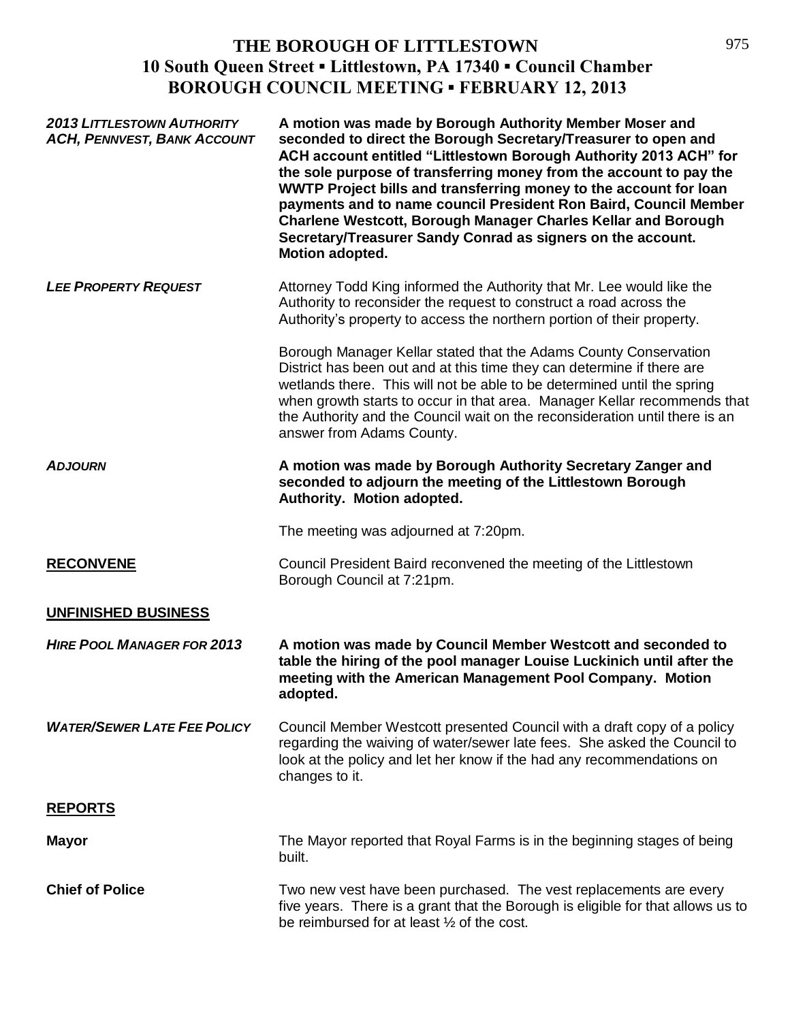| <b>2013 LITTLESTOWN AUTHORITY</b><br><b>ACH, PENNVEST, BANK ACCOUNT</b> | A motion was made by Borough Authority Member Moser and<br>seconded to direct the Borough Secretary/Treasurer to open and<br>ACH account entitled "Littlestown Borough Authority 2013 ACH" for<br>the sole purpose of transferring money from the account to pay the<br>WWTP Project bills and transferring money to the account for loan<br>payments and to name council President Ron Baird, Council Member<br><b>Charlene Westcott, Borough Manager Charles Kellar and Borough</b><br>Secretary/Treasurer Sandy Conrad as signers on the account.<br>Motion adopted. |
|-------------------------------------------------------------------------|-------------------------------------------------------------------------------------------------------------------------------------------------------------------------------------------------------------------------------------------------------------------------------------------------------------------------------------------------------------------------------------------------------------------------------------------------------------------------------------------------------------------------------------------------------------------------|
| <b>LEE PROPERTY REQUEST</b>                                             | Attorney Todd King informed the Authority that Mr. Lee would like the<br>Authority to reconsider the request to construct a road across the<br>Authority's property to access the northern portion of their property.                                                                                                                                                                                                                                                                                                                                                   |
|                                                                         | Borough Manager Kellar stated that the Adams County Conservation<br>District has been out and at this time they can determine if there are<br>wetlands there. This will not be able to be determined until the spring<br>when growth starts to occur in that area. Manager Kellar recommends that<br>the Authority and the Council wait on the reconsideration until there is an<br>answer from Adams County.                                                                                                                                                           |
| <b>ADJOURN</b>                                                          | A motion was made by Borough Authority Secretary Zanger and<br>seconded to adjourn the meeting of the Littlestown Borough<br>Authority. Motion adopted.                                                                                                                                                                                                                                                                                                                                                                                                                 |
|                                                                         | The meeting was adjourned at 7:20pm.                                                                                                                                                                                                                                                                                                                                                                                                                                                                                                                                    |
| <b>RECONVENE</b>                                                        | Council President Baird reconvened the meeting of the Littlestown<br>Borough Council at 7:21pm.                                                                                                                                                                                                                                                                                                                                                                                                                                                                         |
| <b>UNFINISHED BUSINESS</b>                                              |                                                                                                                                                                                                                                                                                                                                                                                                                                                                                                                                                                         |
| <b>HIRE POOL MANAGER FOR 2013</b>                                       | A motion was made by Council Member Westcott and seconded to<br>table the hiring of the pool manager Louise Luckinich until after the<br>meeting with the American Management Pool Company. Motion<br>adopted.                                                                                                                                                                                                                                                                                                                                                          |
| <b>WATER/SEWER LATE FEE POLICY</b>                                      | Council Member Westcott presented Council with a draft copy of a policy<br>regarding the waiving of water/sewer late fees. She asked the Council to<br>look at the policy and let her know if the had any recommendations on<br>changes to it.                                                                                                                                                                                                                                                                                                                          |
| <b>REPORTS</b>                                                          |                                                                                                                                                                                                                                                                                                                                                                                                                                                                                                                                                                         |
| <b>Mayor</b>                                                            | The Mayor reported that Royal Farms is in the beginning stages of being<br>built.                                                                                                                                                                                                                                                                                                                                                                                                                                                                                       |
| <b>Chief of Police</b>                                                  | Two new vest have been purchased. The vest replacements are every<br>five years. There is a grant that the Borough is eligible for that allows us to<br>be reimbursed for at least 1/2 of the cost.                                                                                                                                                                                                                                                                                                                                                                     |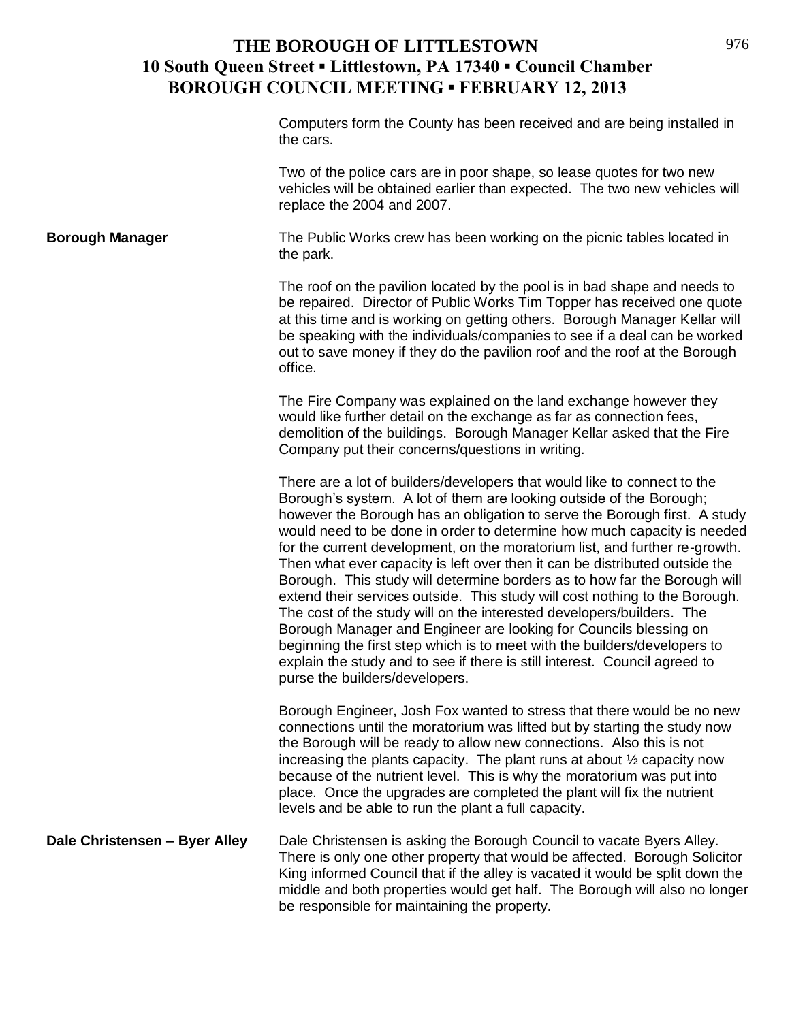Computers form the County has been received and are being installed in the cars.

Two of the police cars are in poor shape, so lease quotes for two new vehicles will be obtained earlier than expected. The two new vehicles will replace the 2004 and 2007.

**Borough Manager** The Public Works crew has been working on the picnic tables located in the park.

> The roof on the pavilion located by the pool is in bad shape and needs to be repaired. Director of Public Works Tim Topper has received one quote at this time and is working on getting others. Borough Manager Kellar will be speaking with the individuals/companies to see if a deal can be worked out to save money if they do the pavilion roof and the roof at the Borough office.

The Fire Company was explained on the land exchange however they would like further detail on the exchange as far as connection fees, demolition of the buildings. Borough Manager Kellar asked that the Fire Company put their concerns/questions in writing.

There are a lot of builders/developers that would like to connect to the Borough's system. A lot of them are looking outside of the Borough; however the Borough has an obligation to serve the Borough first. A study would need to be done in order to determine how much capacity is needed for the current development, on the moratorium list, and further re-growth. Then what ever capacity is left over then it can be distributed outside the Borough. This study will determine borders as to how far the Borough will extend their services outside. This study will cost nothing to the Borough. The cost of the study will on the interested developers/builders. The Borough Manager and Engineer are looking for Councils blessing on beginning the first step which is to meet with the builders/developers to explain the study and to see if there is still interest. Council agreed to purse the builders/developers.

Borough Engineer, Josh Fox wanted to stress that there would be no new connections until the moratorium was lifted but by starting the study now the Borough will be ready to allow new connections. Also this is not increasing the plants capacity. The plant runs at about ½ capacity now because of the nutrient level. This is why the moratorium was put into place. Once the upgrades are completed the plant will fix the nutrient levels and be able to run the plant a full capacity.

**Dale Christensen – Byer Alley** Dale Christensen is asking the Borough Council to vacate Byers Alley. There is only one other property that would be affected. Borough Solicitor King informed Council that if the alley is vacated it would be split down the middle and both properties would get half. The Borough will also no longer be responsible for maintaining the property.